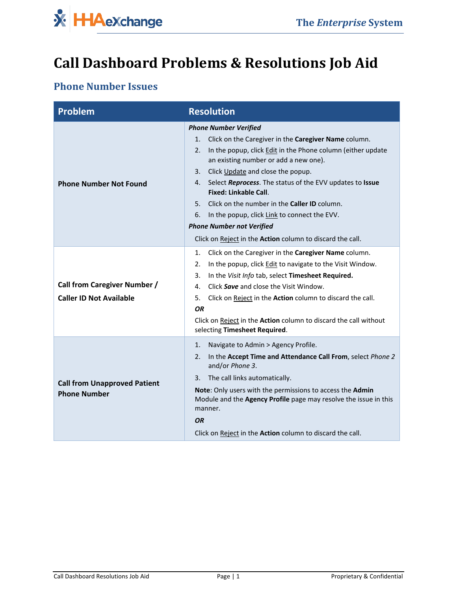

# **Call Dashboard Problems & Resolutions Job Aid**

#### **Phone Number Issues**

| Problem                                                               | <b>Resolution</b>                                                                                                                                                                                                                                                                                                                                                                                                                                                                                                                                                  |
|-----------------------------------------------------------------------|--------------------------------------------------------------------------------------------------------------------------------------------------------------------------------------------------------------------------------------------------------------------------------------------------------------------------------------------------------------------------------------------------------------------------------------------------------------------------------------------------------------------------------------------------------------------|
| <b>Phone Number Not Found</b>                                         | <b>Phone Number Verified</b><br>Click on the Caregiver in the Caregiver Name column.<br>1.<br>In the popup, click Edit in the Phone column (either update<br>2.<br>an existing number or add a new one).<br>Click Update and close the popup.<br>3.<br>Select Reprocess. The status of the EVV updates to Issue<br>4.<br><b>Fixed: Linkable Call.</b><br>Click on the number in the Caller ID column.<br>5.<br>In the popup, click Link to connect the EVV.<br>6.<br><b>Phone Number not Verified</b><br>Click on Reject in the Action column to discard the call. |
| <b>Call from Caregiver Number /</b><br><b>Caller ID Not Available</b> | Click on the Caregiver in the Caregiver Name column.<br>1.<br>In the popup, click <b>Edit</b> to navigate to the Visit Window.<br>2.<br>In the Visit Info tab, select Timesheet Required.<br>3.<br>Click Save and close the Visit Window.<br>4.<br>Click on Reject in the Action column to discard the call.<br>5.<br>OR<br>Click on Reject in the Action column to discard the call without<br>selecting Timesheet Required.                                                                                                                                      |
| <b>Call from Unapproved Patient</b><br><b>Phone Number</b>            | Navigate to Admin > Agency Profile.<br>1.<br>In the Accept Time and Attendance Call From, select Phone 2<br>2.<br>and/or Phone 3.<br>The call links automatically.<br>3.<br>Note: Only users with the permissions to access the Admin<br>Module and the Agency Profile page may resolve the issue in this<br>manner.<br><b>OR</b><br>Click on Reject in the <b>Action</b> column to discard the call.                                                                                                                                                              |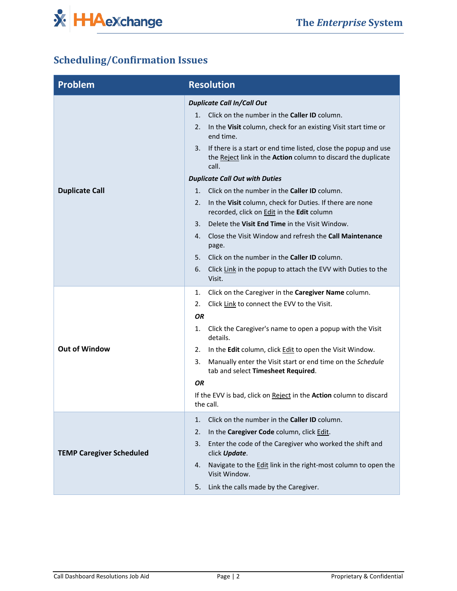

# **Scheduling/Confirmation Issues**

| <b>Problem</b>                  | <b>Resolution</b>                                                                                                                               |
|---------------------------------|-------------------------------------------------------------------------------------------------------------------------------------------------|
|                                 | <b>Duplicate Call In/Call Out</b>                                                                                                               |
|                                 | Click on the number in the <b>Caller ID</b> column.<br>1.                                                                                       |
|                                 | In the Visit column, check for an existing Visit start time or<br>2.<br>end time.                                                               |
|                                 | If there is a start or end time listed, close the popup and use<br>3.<br>the Reject link in the Action column to discard the duplicate<br>call. |
|                                 | <b>Duplicate Call Out with Duties</b>                                                                                                           |
| <b>Duplicate Call</b>           | Click on the number in the <b>Caller ID</b> column.<br>1.                                                                                       |
|                                 | In the Visit column, check for Duties. If there are none<br>2.<br>recorded, click on Edit in the Edit column                                    |
|                                 | Delete the Visit End Time in the Visit Window.<br>3.                                                                                            |
|                                 | Close the Visit Window and refresh the Call Maintenance<br>4.<br>page.                                                                          |
|                                 | Click on the number in the <b>Caller ID</b> column.<br>5.                                                                                       |
|                                 | 6.<br>Click Link in the popup to attach the EVV with Duties to the<br>Visit.                                                                    |
|                                 | Click on the Caregiver in the Caregiver Name column.<br>1.                                                                                      |
|                                 | Click Link to connect the EVV to the Visit.<br>2.                                                                                               |
|                                 | ΟR                                                                                                                                              |
|                                 | Click the Caregiver's name to open a popup with the Visit<br>1.<br>details.                                                                     |
| <b>Out of Window</b>            | In the Edit column, click Edit to open the Visit Window.<br>2.                                                                                  |
|                                 | Manually enter the Visit start or end time on the Schedule<br>3.<br>tab and select Timesheet Required.                                          |
|                                 | ΟR                                                                                                                                              |
|                                 | If the EVV is bad, click on Reject in the Action column to discard<br>the call.                                                                 |
| <b>TEMP Caregiver Scheduled</b> | Click on the number in the Caller ID column.<br>1.                                                                                              |
|                                 | In the Caregiver Code column, click Edit.<br>2.                                                                                                 |
|                                 | Enter the code of the Caregiver who worked the shift and<br>3.<br>click Update.                                                                 |
|                                 | Navigate to the Edit link in the right-most column to open the<br>4.<br>Visit Window.                                                           |
|                                 | 5.<br>Link the calls made by the Caregiver.                                                                                                     |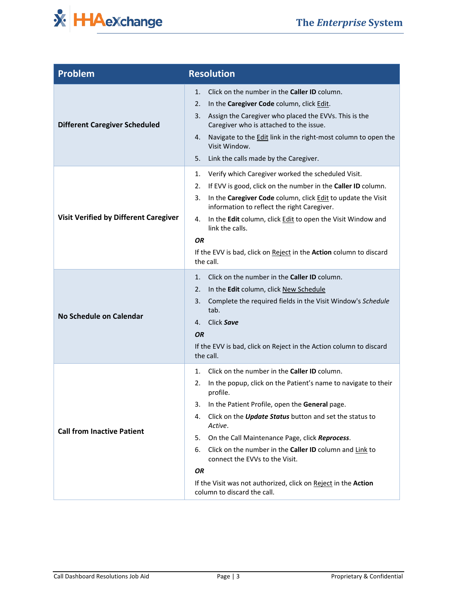

| <b>Problem</b>                               | <b>Resolution</b>                                                                                                                                                                                                                                                                                                                                                                                                                                                                                                                                          |
|----------------------------------------------|------------------------------------------------------------------------------------------------------------------------------------------------------------------------------------------------------------------------------------------------------------------------------------------------------------------------------------------------------------------------------------------------------------------------------------------------------------------------------------------------------------------------------------------------------------|
| <b>Different Caregiver Scheduled</b>         | Click on the number in the Caller ID column.<br>1.<br>In the Caregiver Code column, click Edit.<br>2.<br>Assign the Caregiver who placed the EVVs. This is the<br>3.<br>Caregiver who is attached to the issue.<br>Navigate to the Edit link in the right-most column to open the<br>4.<br>Visit Window.<br>Link the calls made by the Caregiver.<br>5.                                                                                                                                                                                                    |
| <b>Visit Verified by Different Caregiver</b> | Verify which Caregiver worked the scheduled Visit.<br>1.<br>If EVV is good, click on the number in the Caller ID column.<br>2.<br>In the Caregiver Code column, click Edit to update the Visit<br>3.<br>information to reflect the right Caregiver.<br>In the Edit column, click Edit to open the Visit Window and<br>4.<br>link the calls.<br><b>OR</b><br>If the EVV is bad, click on Reject in the Action column to discard<br>the call.                                                                                                                |
| No Schedule on Calendar                      | Click on the number in the <b>Caller ID</b> column.<br>1.<br>2.<br>In the Edit column, click New Schedule<br>Complete the required fields in the Visit Window's Schedule<br>3.<br>tab.<br>Click Save<br>4.<br><b>OR</b><br>If the EVV is bad, click on Reject in the Action column to discard<br>the call.                                                                                                                                                                                                                                                 |
| <b>Call from Inactive Patient</b>            | Click on the number in the Caller ID column.<br>1.<br>In the popup, click on the Patient's name to navigate to their<br>2.<br>profile.<br>In the Patient Profile, open the General page.<br>3.<br>Click on the <b>Update Status</b> button and set the status to<br>4.<br>Active.<br>On the Call Maintenance Page, click Reprocess.<br>5.<br>6.<br>Click on the number in the <b>Caller ID</b> column and Link to<br>connect the EVVs to the Visit.<br>OR<br>If the Visit was not authorized, click on Reject in the Action<br>column to discard the call. |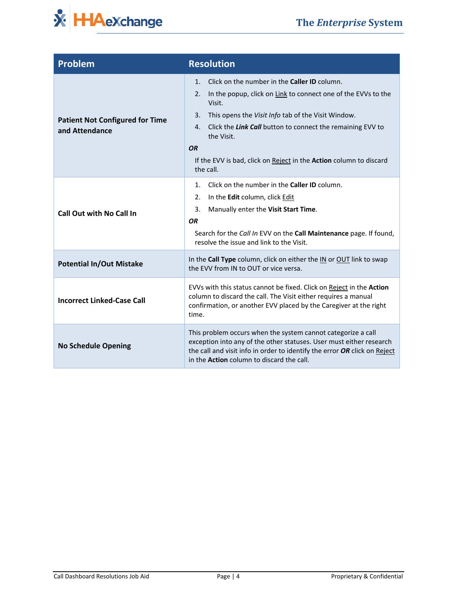

| Problem                                                  | <b>Resolution</b>                                                                                                                                                                                                                                                                                                                                                                                            |
|----------------------------------------------------------|--------------------------------------------------------------------------------------------------------------------------------------------------------------------------------------------------------------------------------------------------------------------------------------------------------------------------------------------------------------------------------------------------------------|
| <b>Patient Not Configured for Time</b><br>and Attendance | Click on the number in the <b>Caller ID</b> column.<br>$\mathbf{1}$<br>In the popup, click on Link to connect one of the EVVs to the<br>2.<br>Visit.<br>This opens the Visit Info tab of the Visit Window.<br>3.<br>Click the Link Call button to connect the remaining EVV to<br>$\mathbf{4}$<br>the Visit.<br><b>OR</b><br>If the EVV is bad, click on Reject in the Action column to discard<br>the call. |
| <b>Call Out with No Call In</b>                          | Click on the number in the <b>Caller ID</b> column.<br>1.<br>In the Edit column, click Edit<br>2.<br>Manually enter the Visit Start Time.<br>3.<br><b>OR</b><br>Search for the Call In EVV on the Call Maintenance page. If found,<br>resolve the issue and link to the Visit.                                                                                                                               |
| <b>Potential In/Out Mistake</b>                          | In the Call Type column, click on either the IN or OUT link to swap<br>the EVV from IN to OUT or vice versa.                                                                                                                                                                                                                                                                                                 |
| <b>Incorrect Linked-Case Call</b>                        | EVVs with this status cannot be fixed. Click on Reject in the Action<br>column to discard the call. The Visit either requires a manual<br>confirmation, or another EVV placed by the Caregiver at the right<br>time.                                                                                                                                                                                         |
| <b>No Schedule Opening</b>                               | This problem occurs when the system cannot categorize a call<br>exception into any of the other statuses. User must either research<br>the call and visit info in order to identify the error OR click on Reject<br>in the Action column to discard the call.                                                                                                                                                |